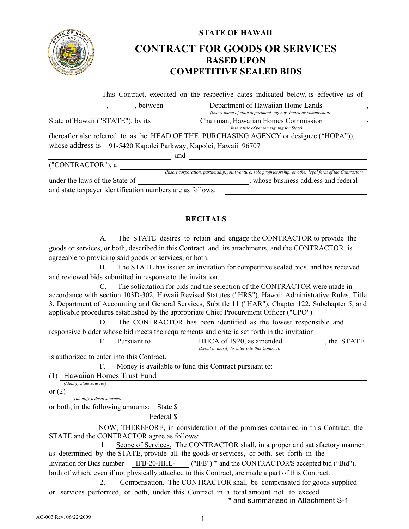

## **STATE OF HAWAII CONTRACT FOR GOODS OR SERVICES BASED UPON COMPETITIVE SEALED BIDS**

|                                                                 | This Contract, executed on the respective dates indicated below, is effective as of                          |
|-----------------------------------------------------------------|--------------------------------------------------------------------------------------------------------------|
| between                                                         | Department of Hawaiian Home Lands                                                                            |
|                                                                 | (Insert name of state department, agency, board or commission)                                               |
| State of Hawaii ("STATE"), by its                               | Chairman, Hawaiian Homes Commission                                                                          |
|                                                                 | (Insert title of person signing for State)                                                                   |
|                                                                 | (hereafter also referred to as the HEAD OF THE PURCHASING AGENCY or designee ("HOPA")),                      |
| whose address is 91-5420 Kapolei Parkway, Kapolei, Hawaii 96707 |                                                                                                              |
|                                                                 | and                                                                                                          |
| ("CONTRACTOR"), a                                               |                                                                                                              |
|                                                                 | (Insert corporation, partnership, joint venture, sole proprietorship. or other legal form of the Contractor) |
| under the laws of the State of                                  | , whose business address and federal                                                                         |
| and state taxpayer identification numbers are as follows:       |                                                                                                              |

## **RECITALS**

A. The STATE desires to retain and engage the CONTRACTOR to provide the goods or services, or both, described in this Contract and its attachments, and the CONTRACTOR is agreeable to providing said goods or services, or both.

B. The STATE has issued an invitation for competitive sealed bids, and has received and reviewed bids submitted in response to the invitation.

C. The solicitation for bids and the selection of the CONTRACTOR were made in accordance with section 103D-302, Hawaii Revised Statutes ("HRS"), Hawaii Administrative Rules, Title 3, Department of Accounting and General Services, Subtitle 11 ("HAR"), Chapter 122, Subchapter 5, and applicable procedures established by the appropriate Chief Procurement Officer ("CPO").

D. The CONTRACTOR has been identified as the lowest responsible and responsive bidder whose bid meets the requirements and criteria set forth in the invitation.

> E. Pursuant to **HHCA** of 1920, as amended , the STATE *(Legal authority to enter into this Contract)*

is authorized to enter into this Contract.

F. Money is available to fund this Contract pursuant to:

(1) Hawaiian Homes Trust Fund *(Identify state sources)*

or (2)

 *(Identify federal sources)*

or both, in the following amounts: State \$

Federal \$

 NOW, THEREFORE, in consideration of the promises contained in this Contract, the STATE and the CONTRACTOR agree as follows:

 1. Scope of Services. The CONTRACTOR shall, in a proper and satisfactory manner as determined by the STATE, provide all the goods or services, or both, set forth in the Invitation for Bids number IFB-20-HHL- ("IFB") **\*** and the CONTRACTOR'S accepted bid ("Bid"), both of which, even if not physically attached to this Contract, are made a part of this Contract.

2. Compensation. The CONTRACTOR shall be compensated for goods supplied or services performed, or both, under this Contract in a total amount not to exceed \* and summarized in Attachment S-1